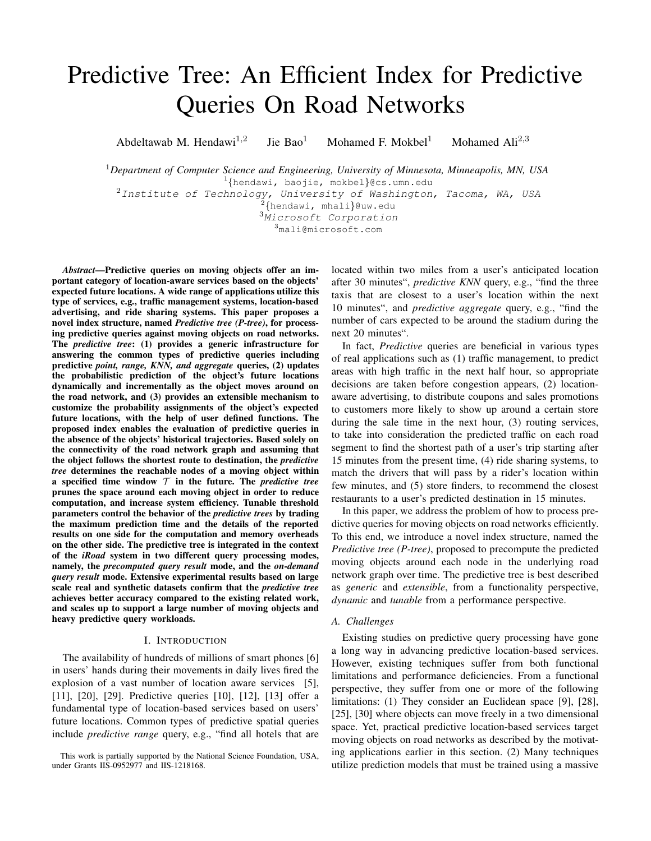# Predictive Tree: An Efficient Index for Predictive Queries On Road Networks

Abdeltawab M. Hendawi $^{1,2}$ Jie Bao<sup>1</sup> Mohamed F. Mokbel<sup>1</sup> Mohamed Ali<sup>2,3</sup>

*Department of Computer Science and Engineering, University of Minnesota, Minneapolis, MN, USA* {hendawi, baojie, mokbel}@cs.umn.edu Institute of Technology, University of Washington, Tacoma, WA, USA  $\frac{1}{2}$ {hendawi, mhali}@uw.edu

<sup>3</sup>Microsoft Corporation

<sup>3</sup>mali@microsoft.com

*Abstract***—Predictive queries on moving objects offer an important category of location-aware services based on the objects' expected future locations. A wide range of applications utilize this type of services, e.g., traffic management systems, location-based advertising, and ride sharing systems. This paper proposes a novel index structure, named** *Predictive tree (P-tree)***, for processing predictive queries against moving objects on road networks. The** *predictive tree***: (1) provides a generic infrastructure for answering the common types of predictive queries including predictive** *point, range, KNN, and aggregate* **queries, (2) updates the probabilistic prediction of the object's future locations dynamically and incrementally as the object moves around on the road network, and (3) provides an extensible mechanism to customize the probability assignments of the object's expected future locations, with the help of user defined functions. The proposed index enables the evaluation of predictive queries in the absence of the objects' historical trajectories. Based solely on the connectivity of the road network graph and assuming that the object follows the shortest route to destination, the** *predictive tree* **determines the reachable nodes of a moving object within a** specified time window  $\mathcal T$  in the future. The *predictive tree* **prunes the space around each moving object in order to reduce computation, and increase system efficiency. Tunable threshold parameters control the behavior of the** *predictive trees* **by trading the maximum prediction time and the details of the reported results on one side for the computation and memory overheads on the other side. The predictive tree is integrated in the context of the** *iRoad* **system in two different query processing modes, namely, the** *precomputed query result* **mode, and the** *on-demand query result* **mode. Extensive experimental results based on large scale real and synthetic datasets confirm that the** *predictive tree* **achieves better accuracy compared to the existing related work, and scales up to support a large number of moving objects and heavy predictive query workloads.**

#### I. INTRODUCTION

The availability of hundreds of millions of smart phones [6] in users' hands during their movements in daily lives fired the explosion of a vast number of location aware services [5], [11], [20], [29]. Predictive queries [10], [12], [13] offer a fundamental type of location-based services based on users' future locations. Common types of predictive spatial queries include *predictive range* query, e.g., "find all hotels that are

located within two miles from a user's anticipated location after 30 minutes", *predictive KNN* query, e.g., "find the three taxis that are closest to a user's location within the next 10 minutes", and *predictive aggregate* query, e.g., "find the number of cars expected to be around the stadium during the next 20 minutes".

In fact, *Predictive* queries are beneficial in various types of real applications such as (1) traffic management, to predict areas with high traffic in the next half hour, so appropriate decisions are taken before congestion appears, (2) locationaware advertising, to distribute coupons and sales promotions to customers more likely to show up around a certain store during the sale time in the next hour, (3) routing services, to take into consideration the predicted traffic on each road segment to find the shortest path of a user's trip starting after 15 minutes from the present time, (4) ride sharing systems, to match the drivers that will pass by a rider's location within few minutes, and (5) store finders, to recommend the closest restaurants to a user's predicted destination in 15 minutes.

In this paper, we address the problem of how to process predictive queries for moving objects on road networks efficiently. To this end, we introduce a novel index structure, named the *Predictive tree (P-tree)*, proposed to precompute the predicted moving objects around each node in the underlying road network graph over time. The predictive tree is best described as *generic* and *extensible*, from a functionality perspective, *dynamic* and *tunable* from a performance perspective.

#### *A. Challenges*

Existing studies on predictive query processing have gone a long way in advancing predictive location-based services. However, existing techniques suffer from both functional limitations and performance deficiencies. From a functional perspective, they suffer from one or more of the following limitations: (1) They consider an Euclidean space [9], [28], [25], [30] where objects can move freely in a two dimensional space. Yet, practical predictive location-based services target moving objects on road networks as described by the motivating applications earlier in this section. (2) Many techniques utilize prediction models that must be trained using a massive

This work is partially supported by the National Science Foundation, USA, under Grants IIS-0952977 and IIS-1218168.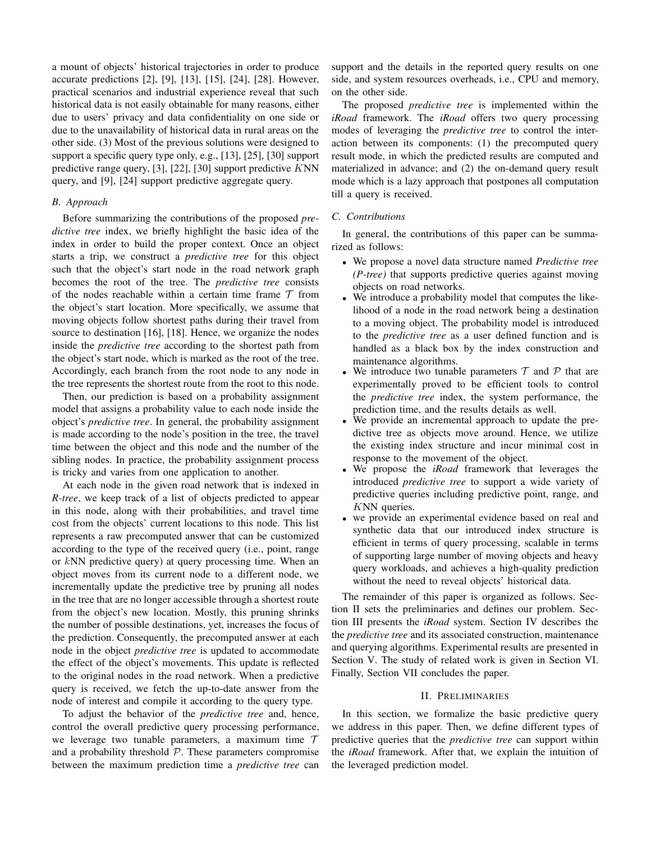a mount of objects' historical trajectories in order to produce accurate predictions [2], [9], [13], [15], [24], [28]. However, practical scenarios and industrial experience reveal that such historical data is not easily obtainable for many reasons, either due to users' privacy and data confidentiality on one side or due to the unavailability of historical data in rural areas on the other side. (3) Most of the previous solutions were designed to support a specific query type only, e.g., [13], [25], [30] support predictive range query, [3], [22], [30] support predictive KNN query, and [9], [24] support predictive aggregate query.

## *B. Approach*

Before summarizing the contributions of the proposed *predictive tree* index, we briefly highlight the basic idea of the index in order to build the proper context. Once an object starts a trip, we construct a *predictive tree* for this object such that the object's start node in the road network graph becomes the root of the tree. The *predictive tree* consists of the nodes reachable within a certain time frame  $\tau$  from the object's start location. More specifically, we assume that moving objects follow shortest paths during their travel from source to destination [16], [18]. Hence, we organize the nodes inside the *predictive tree* according to the shortest path from the object's start node, which is marked as the root of the tree. Accordingly, each branch from the root node to any node in the tree represents the shortest route from the root to this node.

Then, our prediction is based on a probability assignment model that assigns a probability value to each node inside the object's *predictive tree*. In general, the probability assignment is made according to the node's position in the tree, the travel time between the object and this node and the number of the sibling nodes. In practice, the probability assignment process is tricky and varies from one application to another.

At each node in the given road network that is indexed in *R-tree*, we keep track of a list of objects predicted to appear in this node, along with their probabilities, and travel time cost from the objects' current locations to this node. This list represents a raw precomputed answer that can be customized according to the type of the received query (i.e., point, range or kNN predictive query) at query processing time. When an object moves from its current node to a different node, we incrementally update the predictive tree by pruning all nodes in the tree that are no longer accessible through a shortest route from the object's new location. Mostly, this pruning shrinks the number of possible destinations, yet, increases the focus of the prediction. Consequently, the precomputed answer at each node in the object *predictive tree* is updated to accommodate the effect of the object's movements. This update is reflected to the original nodes in the road network. When a predictive query is received, we fetch the up-to-date answer from the node of interest and compile it according to the query type.

To adjust the behavior of the *predictive tree* and, hence, control the overall predictive query processing performance, we leverage two tunable parameters, a maximum time  $T$ and a probability threshold  $P$ . These parameters compromise between the maximum prediction time a *predictive tree* can

support and the details in the reported query results on one side, and system resources overheads, i.e., CPU and memory, on the other side.

The proposed *predictive tree* is implemented within the *iRoad* framework. The *iRoad* offers two query processing modes of leveraging the *predictive tree* to control the interaction between its components: (1) the precomputed query result mode, in which the predicted results are computed and materialized in advance; and (2) the on-demand query result mode which is a lazy approach that postpones all computation till a query is received.

# *C. Contributions*

In general, the contributions of this paper can be summarized as follows:

- We propose a novel data structure named *Predictive tree (P-tree)* that supports predictive queries against moving objects on road networks.
- We introduce a probability model that computes the likelihood of a node in the road network being a destination to a moving object. The probability model is introduced to the *predictive tree* as a user defined function and is handled as a black box by the index construction and maintenance algorithms.
- We introduce two tunable parameters  $\mathcal T$  and  $\mathcal P$  that are experimentally proved to be efficient tools to control the *predictive tree* index, the system performance, the prediction time, and the results details as well.
- We provide an incremental approach to update the predictive tree as objects move around. Hence, we utilize the existing index structure and incur minimal cost in response to the movement of the object.
- We propose the *iRoad* framework that leverages the introduced *predictive tree* to support a wide variety of predictive queries including predictive point, range, and KNN queries.
- we provide an experimental evidence based on real and synthetic data that our introduced index structure is efficient in terms of query processing, scalable in terms of supporting large number of moving objects and heavy query workloads, and achieves a high-quality prediction without the need to reveal objects' historical data.

The remainder of this paper is organized as follows. Section II sets the preliminaries and defines our problem. Section III presents the *iRoad* system. Section IV describes the the *predictive tree* and its associated construction, maintenance and querying algorithms. Experimental results are presented in Section V. The study of related work is given in Section VI. Finally, Section VII concludes the paper.

## II. PRELIMINARIES

In this section, we formalize the basic predictive query we address in this paper. Then, we define different types of predictive queries that the *predictive tree* can support within the *iRoad* framework. After that, we explain the intuition of the leveraged prediction model.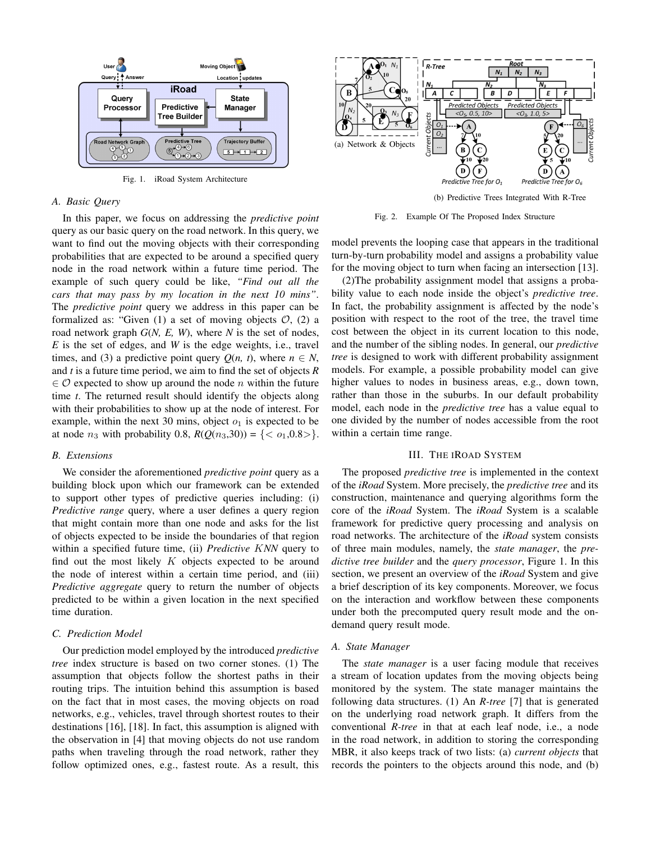

Fig. 1. iRoad System Architecture

#### *A. Basic Query*

In this paper, we focus on addressing the *predictive point* query as our basic query on the road network. In this query, we want to find out the moving objects with their corresponding probabilities that are expected to be around a specified query node in the road network within a future time period. The example of such query could be like, *"Find out all the cars that may pass by my location in the next 10 mins"*. The *predictive point* query we address in this paper can be formalized as: "Given (1) a set of moving objects  $\mathcal{O}$ , (2) a road network graph *G*(*N, E, W*), where *N* is the set of nodes, *E* is the set of edges, and *W* is the edge weights, i.e., travel times, and (3) a predictive point query  $Q(n, t)$ , where  $n \in N$ , and *t* is a future time period, we aim to find the set of objects *R*  $\in \mathcal{O}$  expected to show up around the node *n* within the future time *t*. The returned result should identify the objects along with their probabilities to show up at the node of interest. For example, within the next 30 mins, object  $o_1$  is expected to be at node  $n_3$  with probability 0.8,  $R(Q(n_3,30)) = \{  \}$ .

# *B. Extensions*

We consider the aforementioned *predictive point* query as a building block upon which our framework can be extended to support other types of predictive queries including: (i) *Predictive range* query, where a user defines a query region that might contain more than one node and asks for the list of objects expected to be inside the boundaries of that region within a specified future time, (ii) *Predictive* K*NN* query to find out the most likely  $K$  objects expected to be around the node of interest within a certain time period, and (iii) *Predictive aggregate* query to return the number of objects predicted to be within a given location in the next specified time duration.

# *C. Prediction Model*

Our prediction model employed by the introduced *predictive tree* index structure is based on two corner stones. (1) The assumption that objects follow the shortest paths in their routing trips. The intuition behind this assumption is based on the fact that in most cases, the moving objects on road networks, e.g., vehicles, travel through shortest routes to their destinations [16], [18]. In fact, this assumption is aligned with the observation in [4] that moving objects do not use random paths when traveling through the road network, rather they follow optimized ones, e.g., fastest route. As a result, this



Fig. 2. Example Of The Proposed Index Structure

model prevents the looping case that appears in the traditional turn-by-turn probability model and assigns a probability value for the moving object to turn when facing an intersection [13].

(2)The probability assignment model that assigns a probability value to each node inside the object's *predictive tree*. In fact, the probability assignment is affected by the node's position with respect to the root of the tree, the travel time cost between the object in its current location to this node, and the number of the sibling nodes. In general, our *predictive tree* is designed to work with different probability assignment models. For example, a possible probability model can give higher values to nodes in business areas, e.g., down town, rather than those in the suburbs. In our default probability model, each node in the *predictive tree* has a value equal to one divided by the number of nodes accessible from the root within a certain time range.

## III. THE IROAD SYSTEM

The proposed *predictive tree* is implemented in the context of the *iRoad* System. More precisely, the *predictive tree* and its construction, maintenance and querying algorithms form the core of the *iRoad* System. The *iRoad* System is a scalable framework for predictive query processing and analysis on road networks. The architecture of the *iRoad* system consists of three main modules, namely, the *state manager*, the *predictive tree builder* and the *query processor*, Figure 1. In this section, we present an overview of the *iRoad* System and give a brief description of its key components. Moreover, we focus on the interaction and workflow between these components under both the precomputed query result mode and the ondemand query result mode.

#### *A. State Manager*

The *state manager* is a user facing module that receives a stream of location updates from the moving objects being monitored by the system. The state manager maintains the following data structures. (1) An *R-tree* [7] that is generated on the underlying road network graph. It differs from the conventional *R-tree* in that at each leaf node, i.e., a node in the road network, in addition to storing the corresponding MBR, it also keeps track of two lists: (a) *current objects* that records the pointers to the objects around this node, and (b)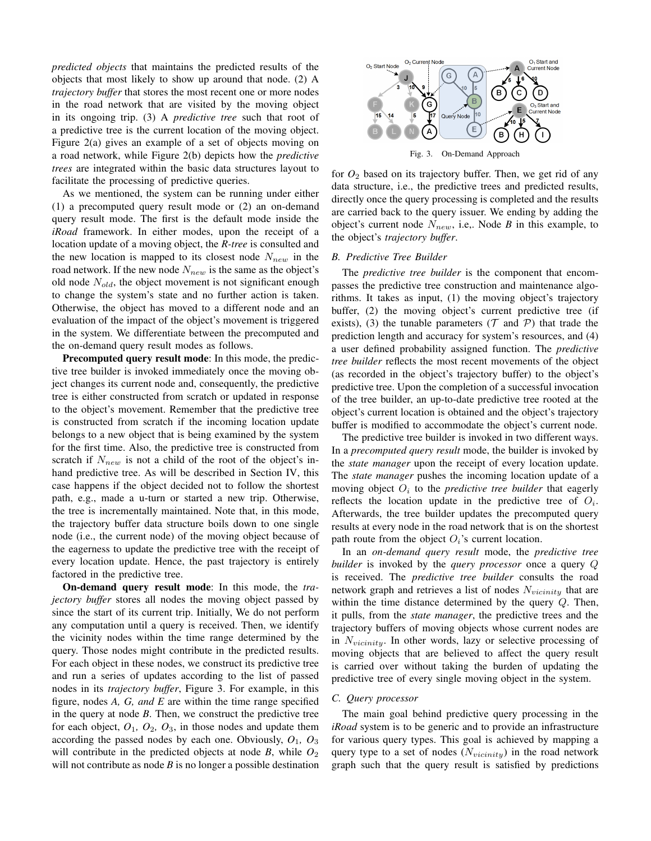*predicted objects* that maintains the predicted results of the objects that most likely to show up around that node. (2) A *trajectory buffer* that stores the most recent one or more nodes in the road network that are visited by the moving object in its ongoing trip. (3) A *predictive tree* such that root of a predictive tree is the current location of the moving object. Figure 2(a) gives an example of a set of objects moving on a road network, while Figure 2(b) depicts how the *predictive trees* are integrated within the basic data structures layout to facilitate the processing of predictive queries.

As we mentioned, the system can be running under either (1) a precomputed query result mode or (2) an on-demand query result mode. The first is the default mode inside the *iRoad* framework. In either modes, upon the receipt of a location update of a moving object, the *R-tree* is consulted and the new location is mapped to its closest node  $N_{new}$  in the road network. If the new node  $N_{new}$  is the same as the object's old node  $N_{old}$ , the object movement is not significant enough to change the system's state and no further action is taken. Otherwise, the object has moved to a different node and an evaluation of the impact of the object's movement is triggered in the system. We differentiate between the precomputed and the on-demand query result modes as follows.

**Precomputed query result mode**: In this mode, the predictive tree builder is invoked immediately once the moving object changes its current node and, consequently, the predictive tree is either constructed from scratch or updated in response to the object's movement. Remember that the predictive tree is constructed from scratch if the incoming location update belongs to a new object that is being examined by the system for the first time. Also, the predictive tree is constructed from scratch if  $N_{new}$  is not a child of the root of the object's inhand predictive tree. As will be described in Section IV, this case happens if the object decided not to follow the shortest path, e.g., made a u-turn or started a new trip. Otherwise, the tree is incrementally maintained. Note that, in this mode, the trajectory buffer data structure boils down to one single node (i.e., the current node) of the moving object because of the eagerness to update the predictive tree with the receipt of every location update. Hence, the past trajectory is entirely factored in the predictive tree.

**On-demand query result mode**: In this mode, the *trajectory buffer* stores all nodes the moving object passed by since the start of its current trip. Initially, We do not perform any computation until a query is received. Then, we identify the vicinity nodes within the time range determined by the query. Those nodes might contribute in the predicted results. For each object in these nodes, we construct its predictive tree and run a series of updates according to the list of passed nodes in its *trajectory buffer*, Figure 3. For example, in this figure, nodes *A, G, and E* are within the time range specified in the query at node *B*. Then, we construct the predictive tree for each object,  $O_1$ ,  $O_2$ ,  $O_3$ , in those nodes and update them according the passed nodes by each one. Obviously, *O*1*, O*<sup>3</sup> will contribute in the predicted objects at node  $B$ , while  $O_2$ will not contribute as node *B* is no longer a possible destination



for *O*<sup>2</sup> based on its trajectory buffer. Then, we get rid of any data structure, i.e., the predictive trees and predicted results, directly once the query processing is completed and the results are carried back to the query issuer. We ending by adding the object's current node  $N_{new}$ , i.e., Node *B* in this example, to the object's *trajectory buffer*.

## *B. Predictive Tree Builder*

The *predictive tree builder* is the component that encompasses the predictive tree construction and maintenance algorithms. It takes as input, (1) the moving object's trajectory buffer, (2) the moving object's current predictive tree (if exists), (3) the tunable parameters ( $\mathcal T$  and  $\mathcal P$ ) that trade the prediction length and accuracy for system's resources, and (4) a user defined probability assigned function. The *predictive tree builder* reflects the most recent movements of the object (as recorded in the object's trajectory buffer) to the object's predictive tree. Upon the completion of a successful invocation of the tree builder, an up-to-date predictive tree rooted at the object's current location is obtained and the object's trajectory buffer is modified to accommodate the object's current node.

The predictive tree builder is invoked in two different ways. In a *precomputed query result* mode, the builder is invoked by the *state manager* upon the receipt of every location update. The *state manager* pushes the incoming location update of a moving object  $O_i$  to the *predictive tree builder* that eagerly reflects the location update in the predictive tree of  $O_i$ . Afterwards, the tree builder updates the precomputed query results at every node in the road network that is on the shortest path route from the object  $O_i$ 's current location.

In an *on-demand query result* mode, the *predictive tree builder* is invoked by the *query processor* once a query Q is received. The *predictive tree builder* consults the road network graph and retrieves a list of nodes  $N_{vicinity}$  that are within the time distance determined by the query  $Q$ . Then, it pulls, from the *state manager*, the predictive trees and the trajectory buffers of moving objects whose current nodes are in  $N_{vicinity}$ . In other words, lazy or selective processing of moving objects that are believed to affect the query result is carried over without taking the burden of updating the predictive tree of every single moving object in the system.

## *C. Query processor*

The main goal behind predictive query processing in the *iRoad* system is to be generic and to provide an infrastructure for various query types. This goal is achieved by mapping a query type to a set of nodes  $(N_{vicinity})$  in the road network graph such that the query result is satisfied by predictions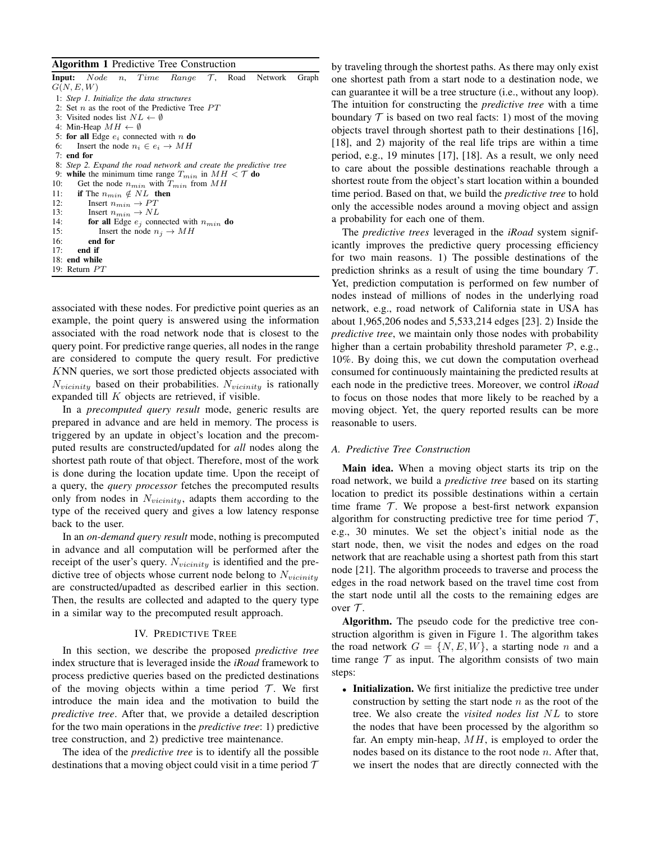#### **Algorithm 1** Predictive Tree Construction

|     |                                                                   |                 |  |                              |  |  |  | <b>Input:</b> <i>Node n</i> , <i>Time</i> Range $T$ , Road Network | Graph |
|-----|-------------------------------------------------------------------|-----------------|--|------------------------------|--|--|--|--------------------------------------------------------------------|-------|
|     | G(N, E, W)                                                        |                 |  |                              |  |  |  |                                                                    |       |
|     | 1: Step 1. Initialize the data structures                         |                 |  |                              |  |  |  |                                                                    |       |
|     | 2: Set <i>n</i> as the root of the Predictive Tree $PT$           |                 |  |                              |  |  |  |                                                                    |       |
|     | 3: Visited nodes list $NL \leftarrow \emptyset$                   |                 |  |                              |  |  |  |                                                                    |       |
|     | 4: Min-Heap $MH \leftarrow \emptyset$                             |                 |  |                              |  |  |  |                                                                    |       |
|     | 5: for all Edge $e_i$ connected with n do                         |                 |  |                              |  |  |  |                                                                    |       |
|     | 6: Insert the node $n_i \in e_i \rightarrow MH$                   |                 |  |                              |  |  |  |                                                                    |       |
|     | $7:$ end for                                                      |                 |  |                              |  |  |  |                                                                    |       |
|     | 8: Step 2. Expand the road network and create the predictive tree |                 |  |                              |  |  |  |                                                                    |       |
|     | 9: while the minimum time range $T_{min}$ in $MH < T$ do          |                 |  |                              |  |  |  |                                                                    |       |
| 10: | Get the node $n_{min}$ with $T_{min}$ from MH                     |                 |  |                              |  |  |  |                                                                    |       |
|     | 11: if The $n_{min} \notin NL$ then                               |                 |  |                              |  |  |  |                                                                    |       |
|     | Insert $n_{min} \rightarrow PT$<br>12:                            |                 |  |                              |  |  |  |                                                                    |       |
|     | Insert $n_{min} \rightarrow NL$<br>13:                            |                 |  |                              |  |  |  |                                                                    |       |
|     | 14:<br>for all Edge $e_i$ connected with $n_{min}$ do             |                 |  |                              |  |  |  |                                                                    |       |
|     | 15:                                                               |                 |  | Insert the node $n_i \to MH$ |  |  |  |                                                                    |       |
|     | 16:                                                               | end for         |  |                              |  |  |  |                                                                    |       |
|     |                                                                   | $17:$ end if    |  |                              |  |  |  |                                                                    |       |
|     | 18: end while                                                     |                 |  |                              |  |  |  |                                                                    |       |
|     |                                                                   | 19: Return $PT$ |  |                              |  |  |  |                                                                    |       |

associated with these nodes. For predictive point queries as an example, the point query is answered using the information associated with the road network node that is closest to the query point. For predictive range queries, all nodes in the range are considered to compute the query result. For predictive KNN queries, we sort those predicted objects associated with  $N_{vicinity}$  based on their probabilities.  $N_{vicinity}$  is rationally expanded till  $K$  objects are retrieved, if visible.

In a *precomputed query result* mode, generic results are prepared in advance and are held in memory. The process is triggered by an update in object's location and the precomputed results are constructed/updated for *all* nodes along the shortest path route of that object. Therefore, most of the work is done during the location update time. Upon the receipt of a query, the *query processor* fetches the precomputed results only from nodes in  $N_{vicinity}$ , adapts them according to the type of the received query and gives a low latency response back to the user.

In an *on-demand query result* mode, nothing is precomputed in advance and all computation will be performed after the receipt of the user's query.  $N_{vicinity}$  is identified and the predictive tree of objects whose current node belong to  $N_{vicinity}$ are constructed/upadted as described earlier in this section. Then, the results are collected and adapted to the query type in a similar way to the precomputed result approach.

# IV. PREDICTIVE TREE

In this section, we describe the proposed *predictive tree* index structure that is leveraged inside the *iRoad* framework to process predictive queries based on the predicted destinations of the moving objects within a time period  $T$ . We first introduce the main idea and the motivation to build the *predictive tree*. After that, we provide a detailed description for the two main operations in the *predictive tree*: 1) predictive tree construction, and 2) predictive tree maintenance.

The idea of the *predictive tree* is to identify all the possible destinations that a moving object could visit in a time period  $\mathcal T$  by traveling through the shortest paths. As there may only exist one shortest path from a start node to a destination node, we can guarantee it will be a tree structure (i.e., without any loop). The intuition for constructing the *predictive tree* with a time boundary  $T$  is based on two real facts: 1) most of the moving objects travel through shortest path to their destinations [16], [18], and 2) majority of the real life trips are within a time period, e.g., 19 minutes [17], [18]. As a result, we only need to care about the possible destinations reachable through a shortest route from the object's start location within a bounded time period. Based on that, we build the *predictive tree* to hold only the accessible nodes around a moving object and assign a probability for each one of them.

The *predictive trees* leveraged in the *iRoad* system significantly improves the predictive query processing efficiency for two main reasons. 1) The possible destinations of the prediction shrinks as a result of using the time boundary  $\mathcal{T}$ . Yet, prediction computation is performed on few number of nodes instead of millions of nodes in the underlying road network, e.g., road network of California state in USA has about 1,965,206 nodes and 5,533,214 edges [23]. 2) Inside the *predictive tree*, we maintain only those nodes with probability higher than a certain probability threshold parameter  $P$ , e.g., 10%. By doing this, we cut down the computation overhead consumed for continuously maintaining the predicted results at each node in the predictive trees. Moreover, we control *iRoad* to focus on those nodes that more likely to be reached by a moving object. Yet, the query reported results can be more reasonable to users.

# *A. Predictive Tree Construction*

**Main idea.** When a moving object starts its trip on the road network, we build a *predictive tree* based on its starting location to predict its possible destinations within a certain time frame  $T$ . We propose a best-first network expansion algorithm for constructing predictive tree for time period  $\mathcal{T}$ , e.g., 30 minutes. We set the object's initial node as the start node, then, we visit the nodes and edges on the road network that are reachable using a shortest path from this start node [21]. The algorithm proceeds to traverse and process the edges in the road network based on the travel time cost from the start node until all the costs to the remaining edges are over  $\mathcal{T}$ .

**Algorithm.** The pseudo code for the predictive tree construction algorithm is given in Figure 1. The algorithm takes the road network  $G = \{N, E, W\}$ , a starting node n and a time range  $T$  as input. The algorithm consists of two main steps:

• **Initialization.** We first initialize the predictive tree under construction by setting the start node  $n$  as the root of the tree. We also create the *visited nodes list* NL to store the nodes that have been processed by the algorithm so far. An empty min-heap,  $MH$ , is employed to order the nodes based on its distance to the root node  $n$ . After that, we insert the nodes that are directly connected with the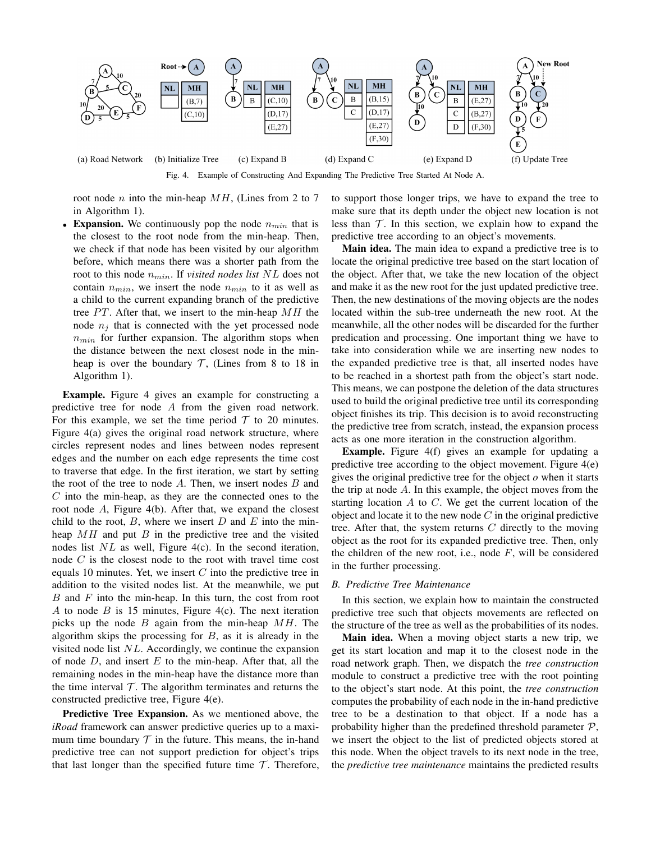

Fig. 4. Example of Constructing And Expanding The Predictive Tree Started At Node A.

root node *n* into the min-heap  $MH$ , (Lines from 2 to 7 in Algorithm 1).

• **Expansion.** We continuously pop the node  $n_{min}$  that is the closest to the root node from the min-heap. Then, we check if that node has been visited by our algorithm before, which means there was a shorter path from the root to this node nmin. If *visited nodes list* NL does not contain  $n_{min}$ , we insert the node  $n_{min}$  to it as well as a child to the current expanding branch of the predictive tree  $PT$ . After that, we insert to the min-heap  $MH$  the node  $n_i$  that is connected with the yet processed node  $n_{min}$  for further expansion. The algorithm stops when the distance between the next closest node in the minheap is over the boundary  $\mathcal T$ , (Lines from 8 to 18 in Algorithm 1).

**Example.** Figure 4 gives an example for constructing a predictive tree for node A from the given road network. For this example, we set the time period  $T$  to 20 minutes. Figure 4(a) gives the original road network structure, where circles represent nodes and lines between nodes represent edges and the number on each edge represents the time cost to traverse that edge. In the first iteration, we start by setting the root of the tree to node  $A$ . Then, we insert nodes  $B$  and  $C$  into the min-heap, as they are the connected ones to the root node A, Figure 4(b). After that, we expand the closest child to the root,  $B$ , where we insert  $D$  and  $E$  into the minheap  $MH$  and put  $B$  in the predictive tree and the visited nodes list NL as well, Figure 4(c). In the second iteration, node  $C$  is the closest node to the root with travel time cost equals 10 minutes. Yet, we insert  $C$  into the predictive tree in addition to the visited nodes list. At the meanwhile, we put  $B$  and  $F$  into the min-heap. In this turn, the cost from root A to node B is 15 minutes, Figure 4(c). The next iteration picks up the node  $B$  again from the min-heap  $MH$ . The algorithm skips the processing for  $B$ , as it is already in the visited node list NL. Accordingly, we continue the expansion of node  $D$ , and insert  $E$  to the min-heap. After that, all the remaining nodes in the min-heap have the distance more than the time interval  $\mathcal T$ . The algorithm terminates and returns the constructed predictive tree, Figure 4(e).

**Predictive Tree Expansion.** As we mentioned above, the *iRoad* framework can answer predictive queries up to a maximum time boundary  $\mathcal T$  in the future. This means, the in-hand predictive tree can not support prediction for object's trips that last longer than the specified future time  $\mathcal T$ . Therefore, to support those longer trips, we have to expand the tree to make sure that its depth under the object new location is not less than  $\mathcal T$ . In this section, we explain how to expand the predictive tree according to an object's movements.

**Main idea.** The main idea to expand a predictive tree is to locate the original predictive tree based on the start location of the object. After that, we take the new location of the object and make it as the new root for the just updated predictive tree. Then, the new destinations of the moving objects are the nodes located within the sub-tree underneath the new root. At the meanwhile, all the other nodes will be discarded for the further predication and processing. One important thing we have to take into consideration while we are inserting new nodes to the expanded predictive tree is that, all inserted nodes have to be reached in a shortest path from the object's start node. This means, we can postpone the deletion of the data structures used to build the original predictive tree until its corresponding object finishes its trip. This decision is to avoid reconstructing the predictive tree from scratch, instead, the expansion process acts as one more iteration in the construction algorithm.

**Example.** Figure 4(f) gives an example for updating a predictive tree according to the object movement. Figure 4(e) gives the original predictive tree for the object *o* when it starts the trip at node A. In this example, the object moves from the starting location  $A$  to  $C$ . We get the current location of the object and locate it to the new node  $C$  in the original predictive tree. After that, the system returns  $C$  directly to the moving object as the root for its expanded predictive tree. Then, only the children of the new root, i.e., node  $F$ , will be considered in the further processing.

#### *B. Predictive Tree Maintenance*

In this section, we explain how to maintain the constructed predictive tree such that objects movements are reflected on the structure of the tree as well as the probabilities of its nodes.

**Main idea.** When a moving object starts a new trip, we get its start location and map it to the closest node in the road network graph. Then, we dispatch the *tree construction* module to construct a predictive tree with the root pointing to the object's start node. At this point, the *tree construction* computes the probability of each node in the in-hand predictive tree to be a destination to that object. If a node has a probability higher than the predefined threshold parameter  $P$ , we insert the object to the list of predicted objects stored at this node. When the object travels to its next node in the tree, the *predictive tree maintenance* maintains the predicted results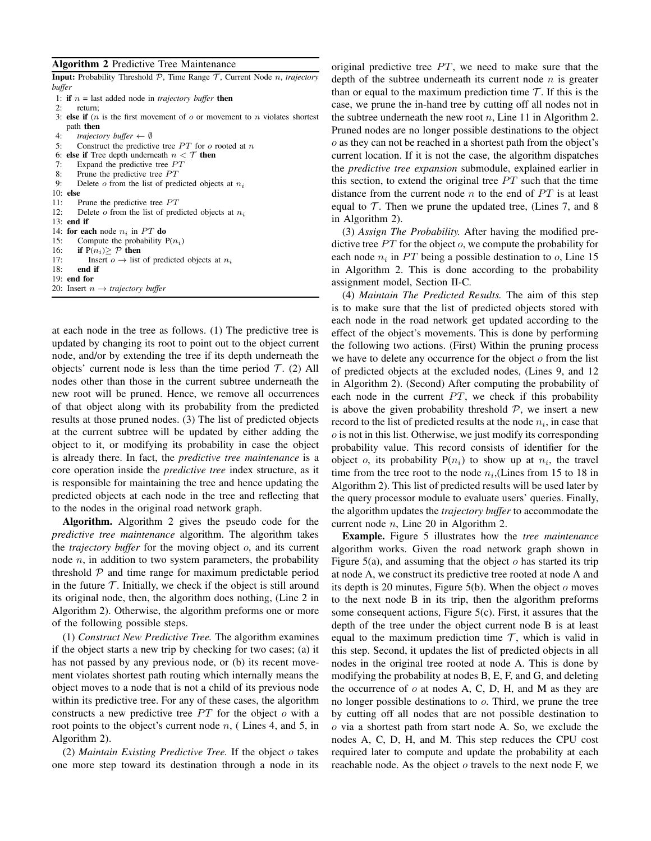#### **Algorithm 2** Predictive Tree Maintenance

|        | <b>Input:</b> Probability Threshold $\mathcal{P}$ , Time Range $\mathcal{T}$ , Current Node <i>n</i> , trajectory |  |  |  |  |  |  |
|--------|-------------------------------------------------------------------------------------------------------------------|--|--|--|--|--|--|
| buffer |                                                                                                                   |  |  |  |  |  |  |
|        | 1: if $n =$ last added node in <i>trajectory buffer</i> then                                                      |  |  |  |  |  |  |
| 2:     | return;                                                                                                           |  |  |  |  |  |  |
|        | 3: else if $(n$ is the first movement of $o$ or movement to n violates shortest                                   |  |  |  |  |  |  |
|        | path then                                                                                                         |  |  |  |  |  |  |
|        | 4: trajectory buffer $\leftarrow \emptyset$                                                                       |  |  |  |  |  |  |
|        | 5: Construct the predictive tree $PT$ for o rooted at n                                                           |  |  |  |  |  |  |
|        | 6: else if Tree depth underneath $n < T$ then                                                                     |  |  |  |  |  |  |
| 7:     | Expand the predictive tree $PT$                                                                                   |  |  |  |  |  |  |
|        | 8: Prune the predictive tree $PT$                                                                                 |  |  |  |  |  |  |
| 9:     | Delete $o$ from the list of predicted objects at $n_i$                                                            |  |  |  |  |  |  |
|        | $10:$ else                                                                                                        |  |  |  |  |  |  |
| 11:    | Prune the predictive tree $PT$                                                                                    |  |  |  |  |  |  |
| 12:    | Delete $o$ from the list of predicted objects at $n_i$                                                            |  |  |  |  |  |  |
|        | $13:$ end if                                                                                                      |  |  |  |  |  |  |
|        | 14: for each node $n_i$ in PT do                                                                                  |  |  |  |  |  |  |
|        | 15: Compute the probability $P(n_i)$                                                                              |  |  |  |  |  |  |
|        | 16: if $P(n_i) > P$ then                                                                                          |  |  |  |  |  |  |
|        | Insert $o \rightarrow$ list of predicted objects at $n_i$<br>17:                                                  |  |  |  |  |  |  |
| 18:    | end if                                                                                                            |  |  |  |  |  |  |
|        | $19:$ end for                                                                                                     |  |  |  |  |  |  |
|        | 20: Insert $n \rightarrow \text{trajectory buffer}$                                                               |  |  |  |  |  |  |
|        |                                                                                                                   |  |  |  |  |  |  |

at each node in the tree as follows. (1) The predictive tree is updated by changing its root to point out to the object current node, and/or by extending the tree if its depth underneath the objects' current node is less than the time period  $\mathcal{T}$ . (2) All nodes other than those in the current subtree underneath the new root will be pruned. Hence, we remove all occurrences of that object along with its probability from the predicted results at those pruned nodes. (3) The list of predicted objects at the current subtree will be updated by either adding the object to it, or modifying its probability in case the object is already there. In fact, the *predictive tree maintenance* is a core operation inside the *predictive tree* index structure, as it is responsible for maintaining the tree and hence updating the predicted objects at each node in the tree and reflecting that to the nodes in the original road network graph.

**Algorithm.** Algorithm 2 gives the pseudo code for the *predictive tree maintenance* algorithm. The algorithm takes the *trajectory buffer* for the moving object o, and its current node  $n$ , in addition to two system parameters, the probability threshold  $P$  and time range for maximum predictable period in the future  $\mathcal T$ . Initially, we check if the object is still around its original node, then, the algorithm does nothing, (Line 2 in Algorithm 2). Otherwise, the algorithm preforms one or more of the following possible steps.

(1) *Construct New Predictive Tree.* The algorithm examines if the object starts a new trip by checking for two cases; (a) it has not passed by any previous node, or (b) its recent movement violates shortest path routing which internally means the object moves to a node that is not a child of its previous node within its predictive tree. For any of these cases, the algorithm constructs a new predictive tree  $PT$  for the object  $o$  with a root points to the object's current node  $n$ , (Lines 4, and 5, in Algorithm 2).

(2) *Maintain Existing Predictive Tree.* If the object o takes one more step toward its destination through a node in its

original predictive tree  $PT$ , we need to make sure that the depth of the subtree underneath its current node  $n$  is greater than or equal to the maximum prediction time  $\mathcal T$ . If this is the case, we prune the in-hand tree by cutting off all nodes not in the subtree underneath the new root  $n$ , Line 11 in Algorithm 2. Pruned nodes are no longer possible destinations to the object o as they can not be reached in a shortest path from the object's current location. If it is not the case, the algorithm dispatches the *predictive tree expansion* submodule, explained earlier in this section, to extend the original tree  $PT$  such that the time distance from the current node  $n$  to the end of  $PT$  is at least equal to  $\mathcal T$ . Then we prune the updated tree, (Lines 7, and 8 in Algorithm 2).

(3) *Assign The Probability.* After having the modified predictive tree  $PT$  for the object  $o$ , we compute the probability for each node  $n_i$  in PT being a possible destination to  $o$ , Line 15 in Algorithm 2. This is done according to the probability assignment model, Section II-C.

(4) *Maintain The Predicted Results.* The aim of this step is to make sure that the list of predicted objects stored with each node in the road network get updated according to the effect of the object's movements. This is done by performing the following two actions. (First) Within the pruning process we have to delete any occurrence for the object  $o$  from the list of predicted objects at the excluded nodes, (Lines 9, and 12 in Algorithm 2). (Second) After computing the probability of each node in the current  $PT$ , we check if this probability is above the given probability threshold  $P$ , we insert a new record to the list of predicted results at the node  $n_i$ , in case that o is not in this list. Otherwise, we just modify its corresponding probability value. This record consists of identifier for the object o, its probability  $P(n_i)$  to show up at  $n_i$ , the travel time from the tree root to the node  $n_i$ , (Lines from 15 to 18 in Algorithm 2). This list of predicted results will be used later by the query processor module to evaluate users' queries. Finally, the algorithm updates the *trajectory buffer* to accommodate the current node  $n$ , Line 20 in Algorithm 2.

**Example.** Figure 5 illustrates how the *tree maintenance* algorithm works. Given the road network graph shown in Figure 5(a), and assuming that the object  $\sigma$  has started its trip at node A, we construct its predictive tree rooted at node A and its depth is 20 minutes, Figure 5(b). When the object  $\sigma$  moves to the next node B in its trip, then the algorithm preforms some consequent actions, Figure 5(c). First, it assures that the depth of the tree under the object current node B is at least equal to the maximum prediction time  $\mathcal T$ , which is valid in this step. Second, it updates the list of predicted objects in all nodes in the original tree rooted at node A. This is done by modifying the probability at nodes B, E, F, and G, and deleting the occurrence of  $o$  at nodes A, C, D, H, and M as they are no longer possible destinations to o. Third, we prune the tree by cutting off all nodes that are not possible destination to o via a shortest path from start node A. So, we exclude the nodes A, C, D, H, and M. This step reduces the CPU cost required later to compute and update the probability at each reachable node. As the object  $o$  travels to the next node F, we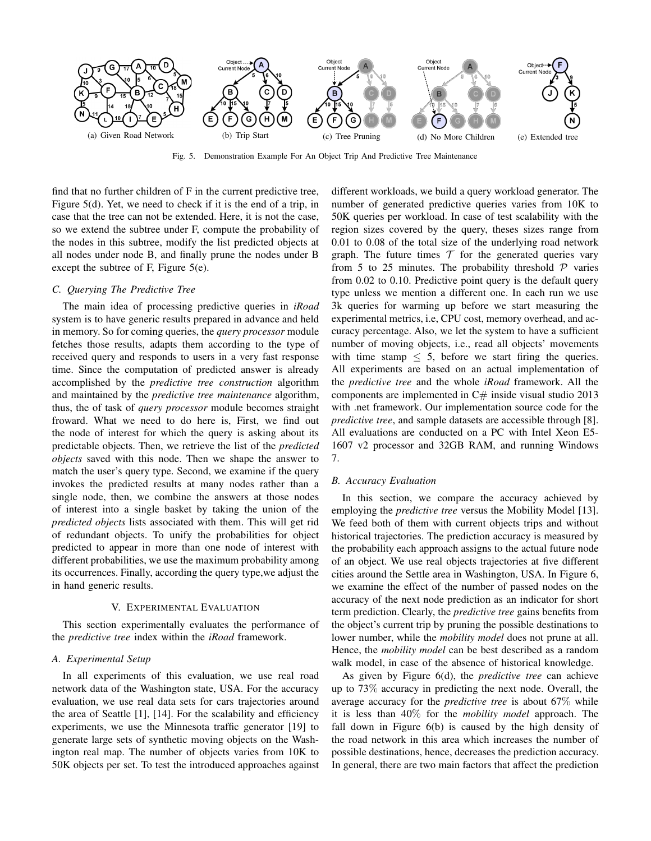

Fig. 5. Demonstration Example For An Object Trip And Predictive Tree Maintenance

find that no further children of F in the current predictive tree, Figure 5(d). Yet, we need to check if it is the end of a trip, in case that the tree can not be extended. Here, it is not the case, so we extend the subtree under F, compute the probability of the nodes in this subtree, modify the list predicted objects at all nodes under node B, and finally prune the nodes under B except the subtree of F, Figure  $5(e)$ .

#### *C. Querying The Predictive Tree*

The main idea of processing predictive queries in *iRoad* system is to have generic results prepared in advance and held in memory. So for coming queries, the *query processor* module fetches those results, adapts them according to the type of received query and responds to users in a very fast response time. Since the computation of predicted answer is already accomplished by the *predictive tree construction* algorithm and maintained by the *predictive tree maintenance* algorithm, thus, the of task of *query processor* module becomes straight froward. What we need to do here is, First, we find out the node of interest for which the query is asking about its predictable objects. Then, we retrieve the list of the *predicted objects* saved with this node. Then we shape the answer to match the user's query type. Second, we examine if the query invokes the predicted results at many nodes rather than a single node, then, we combine the answers at those nodes of interest into a single basket by taking the union of the *predicted objects* lists associated with them. This will get rid of redundant objects. To unify the probabilities for object predicted to appear in more than one node of interest with different probabilities, we use the maximum probability among its occurrences. Finally, according the query type,we adjust the in hand generic results.

## V. EXPERIMENTAL EVALUATION

This section experimentally evaluates the performance of the *predictive tree* index within the *iRoad* framework.

# *A. Experimental Setup*

In all experiments of this evaluation, we use real road network data of the Washington state, USA. For the accuracy evaluation, we use real data sets for cars trajectories around the area of Seattle [1], [14]. For the scalability and efficiency experiments, we use the Minnesota traffic generator [19] to generate large sets of synthetic moving objects on the Washington real map. The number of objects varies from 10K to 50K objects per set. To test the introduced approaches against

different workloads, we build a query workload generator. The number of generated predictive queries varies from 10K to 50K queries per workload. In case of test scalability with the region sizes covered by the query, theses sizes range from 0.01 to 0.08 of the total size of the underlying road network graph. The future times  $T$  for the generated queries vary from 5 to 25 minutes. The probability threshold  $P$  varies from 0.02 to 0.10. Predictive point query is the default query type unless we mention a different one. In each run we use 3k queries for warming up before we start measuring the experimental metrics, i.e, CPU cost, memory overhead, and accuracy percentage. Also, we let the system to have a sufficient number of moving objects, i.e., read all objects' movements with time stamp  $\leq$  5, before we start firing the queries. All experiments are based on an actual implementation of the *predictive tree* and the whole *iRoad* framework. All the components are implemented in  $C#$  inside visual studio 2013 with .net framework. Our implementation source code for the *predictive tree*, and sample datasets are accessible through [8]. All evaluations are conducted on a PC with Intel Xeon E5- 1607 v2 processor and 32GB RAM, and running Windows 7.

#### *B. Accuracy Evaluation*

In this section, we compare the accuracy achieved by employing the *predictive tree* versus the Mobility Model [13]. We feed both of them with current objects trips and without historical trajectories. The prediction accuracy is measured by the probability each approach assigns to the actual future node of an object. We use real objects trajectories at five different cities around the Settle area in Washington, USA. In Figure 6, we examine the effect of the number of passed nodes on the accuracy of the next node prediction as an indicator for short term prediction. Clearly, the *predictive tree* gains benefits from the object's current trip by pruning the possible destinations to lower number, while the *mobility model* does not prune at all. Hence, the *mobility model* can be best described as a random walk model, in case of the absence of historical knowledge.

As given by Figure 6(d), the *predictive tree* can achieve up to 73% accuracy in predicting the next node. Overall, the average accuracy for the *predictive tree* is about 67% while it is less than 40% for the *mobility model* approach. The fall down in Figure 6(b) is caused by the high density of the road network in this area which increases the number of possible destinations, hence, decreases the prediction accuracy. In general, there are two main factors that affect the prediction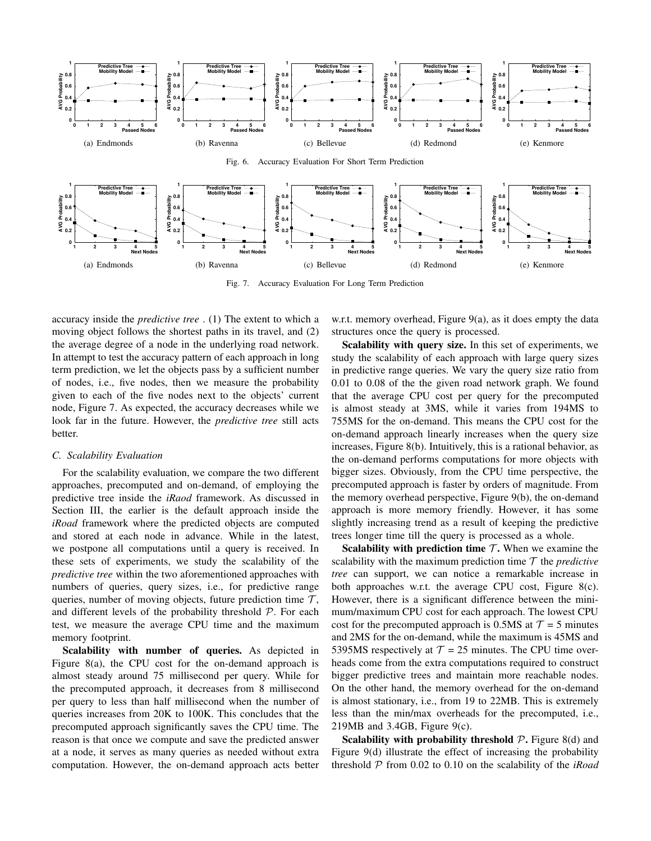

Fig. 7. Accuracy Evaluation For Long Term Prediction

accuracy inside the *predictive tree* . (1) The extent to which a moving object follows the shortest paths in its travel, and (2) the average degree of a node in the underlying road network. In attempt to test the accuracy pattern of each approach in long term prediction, we let the objects pass by a sufficient number of nodes, i.e., five nodes, then we measure the probability given to each of the five nodes next to the objects' current node, Figure 7. As expected, the accuracy decreases while we look far in the future. However, the *predictive tree* still acts better.

## *C. Scalability Evaluation*

For the scalability evaluation, we compare the two different approaches, precomputed and on-demand, of employing the predictive tree inside the *iRaod* framework. As discussed in Section III, the earlier is the default approach inside the *iRoad* framework where the predicted objects are computed and stored at each node in advance. While in the latest, we postpone all computations until a query is received. In these sets of experiments, we study the scalability of the *predictive tree* within the two aforementioned approaches with numbers of queries, query sizes, i.e., for predictive range queries, number of moving objects, future prediction time  $\mathcal{T}$ , and different levels of the probability threshold  $P$ . For each test, we measure the average CPU time and the maximum memory footprint.

**Scalability with number of queries.** As depicted in Figure 8(a), the CPU cost for the on-demand approach is almost steady around 75 millisecond per query. While for the precomputed approach, it decreases from 8 millisecond per query to less than half millisecond when the number of queries increases from 20K to 100K. This concludes that the precomputed approach significantly saves the CPU time. The reason is that once we compute and save the predicted answer at a node, it serves as many queries as needed without extra computation. However, the on-demand approach acts better

w.r.t. memory overhead, Figure 9(a), as it does empty the data structures once the query is processed.

**Scalability with query size.** In this set of experiments, we study the scalability of each approach with large query sizes in predictive range queries. We vary the query size ratio from 0.01 to 0.08 of the the given road network graph. We found that the average CPU cost per query for the precomputed is almost steady at 3MS, while it varies from 194MS to 755MS for the on-demand. This means the CPU cost for the on-demand approach linearly increases when the query size increases, Figure 8(b). Intuitively, this is a rational behavior, as the on-demand performs computations for more objects with bigger sizes. Obviously, from the CPU time perspective, the precomputed approach is faster by orders of magnitude. From the memory overhead perspective, Figure 9(b), the on-demand approach is more memory friendly. However, it has some slightly increasing trend as a result of keeping the predictive trees longer time till the query is processed as a whole.

**Scalability with prediction time**  $T$ **. When we examine the** scalability with the maximum prediction time  $T$  the *predictive tree* can support, we can notice a remarkable increase in both approaches w.r.t. the average CPU cost, Figure 8(c). However, there is a significant difference between the minimum/maximum CPU cost for each approach. The lowest CPU cost for the precomputed approach is 0.5MS at  $T = 5$  minutes and 2MS for the on-demand, while the maximum is 45MS and 5395MS respectively at  $T = 25$  minutes. The CPU time overheads come from the extra computations required to construct bigger predictive trees and maintain more reachable nodes. On the other hand, the memory overhead for the on-demand is almost stationary, i.e., from 19 to 22MB. This is extremely less than the min/max overheads for the precomputed, i.e., 219MB and 3.4GB, Figure 9(c).

**Scalability with probability threshold**  $P$ . Figure 8(d) and Figure 9(d) illustrate the effect of increasing the probability threshold P from 0.02 to 0.10 on the scalability of the *iRoad*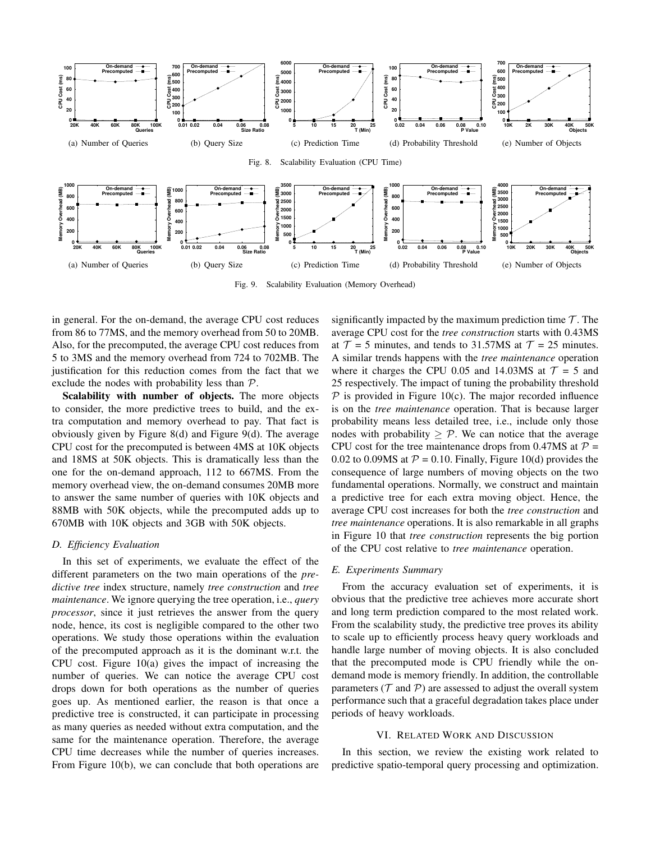

Fig. 9. Scalability Evaluation (Memory Overhead)

in general. For the on-demand, the average CPU cost reduces from 86 to 77MS, and the memory overhead from 50 to 20MB. Also, for the precomputed, the average CPU cost reduces from 5 to 3MS and the memory overhead from 724 to 702MB. The justification for this reduction comes from the fact that we exclude the nodes with probability less than P.

**Scalability with number of objects.** The more objects to consider, the more predictive trees to build, and the extra computation and memory overhead to pay. That fact is obviously given by Figure 8(d) and Figure 9(d). The average CPU cost for the precomputed is between 4MS at 10K objects and 18MS at 50K objects. This is dramatically less than the one for the on-demand approach, 112 to 667MS. From the memory overhead view, the on-demand consumes 20MB more to answer the same number of queries with 10K objects and 88MB with 50K objects, while the precomputed adds up to 670MB with 10K objects and 3GB with 50K objects.

## *D. Efficiency Evaluation*

In this set of experiments, we evaluate the effect of the different parameters on the two main operations of the *predictive tree* index structure, namely *tree construction* and *tree maintenance*. We ignore querying the tree operation, i.e., *query processor*, since it just retrieves the answer from the query node, hence, its cost is negligible compared to the other two operations. We study those operations within the evaluation of the precomputed approach as it is the dominant w.r.t. the CPU cost. Figure 10(a) gives the impact of increasing the number of queries. We can notice the average CPU cost drops down for both operations as the number of queries goes up. As mentioned earlier, the reason is that once a predictive tree is constructed, it can participate in processing as many queries as needed without extra computation, and the same for the maintenance operation. Therefore, the average CPU time decreases while the number of queries increases. From Figure 10(b), we can conclude that both operations are significantly impacted by the maximum prediction time  $\mathcal T$ . The average CPU cost for the *tree construction* starts with 0.43MS at  $T = 5$  minutes, and tends to 31.57MS at  $T = 25$  minutes. A similar trends happens with the *tree maintenance* operation where it charges the CPU 0.05 and 14.03MS at  $T = 5$  and 25 respectively. The impact of tuning the probability threshold  $P$  is provided in Figure 10(c). The major recorded influence is on the *tree maintenance* operation. That is because larger probability means less detailed tree, i.e., include only those nodes with probability  $\geq \mathcal{P}$ . We can notice that the average CPU cost for the tree maintenance drops from 0.47MS at  $P =$ 0.02 to 0.09MS at  $P = 0.10$ . Finally, Figure 10(d) provides the consequence of large numbers of moving objects on the two fundamental operations. Normally, we construct and maintain a predictive tree for each extra moving object. Hence, the average CPU cost increases for both the *tree construction* and *tree maintenance* operations. It is also remarkable in all graphs in Figure 10 that *tree construction* represents the big portion of the CPU cost relative to *tree maintenance* operation.

## *E. Experiments Summary*

From the accuracy evaluation set of experiments, it is obvious that the predictive tree achieves more accurate short and long term prediction compared to the most related work. From the scalability study, the predictive tree proves its ability to scale up to efficiently process heavy query workloads and handle large number of moving objects. It is also concluded that the precomputed mode is CPU friendly while the ondemand mode is memory friendly. In addition, the controllable parameters ( $\mathcal T$  and  $\mathcal P$ ) are assessed to adjust the overall system performance such that a graceful degradation takes place under periods of heavy workloads.

#### VI. RELATED WORK AND DISCUSSION

In this section, we review the existing work related to predictive spatio-temporal query processing and optimization.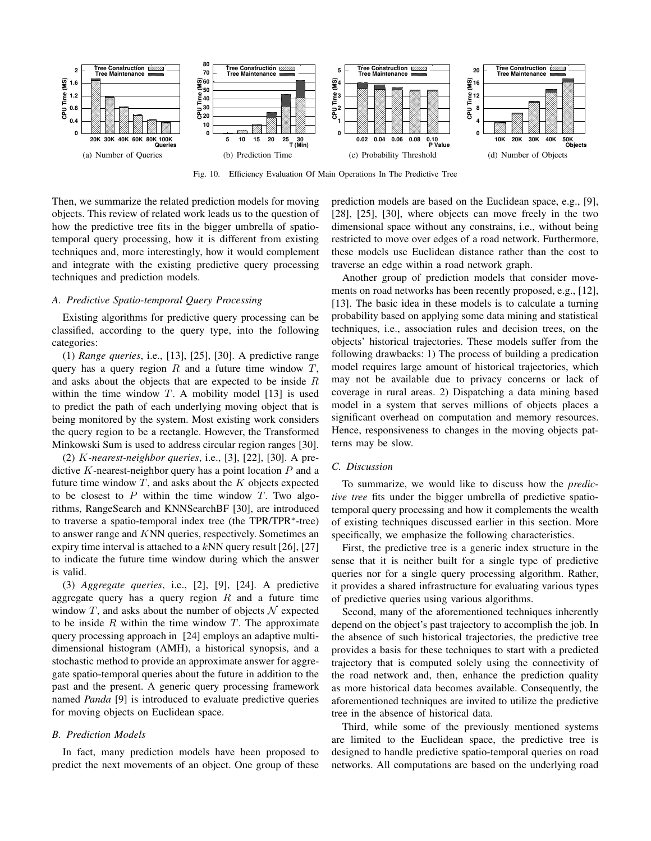

Fig. 10. Efficiency Evaluation Of Main Operations In The Predictive Tree

Then, we summarize the related prediction models for moving objects. This review of related work leads us to the question of how the predictive tree fits in the bigger umbrella of spatiotemporal query processing, how it is different from existing techniques and, more interestingly, how it would complement and integrate with the existing predictive query processing techniques and prediction models.

## *A. Predictive Spatio-temporal Query Processing*

Existing algorithms for predictive query processing can be classified, according to the query type, into the following categories:

(1) *Range queries*, i.e., [13], [25], [30]. A predictive range query has a query region  $R$  and a future time window  $T$ , and asks about the objects that are expected to be inside R within the time window  $T$ . A mobility model [13] is used to predict the path of each underlying moving object that is being monitored by the system. Most existing work considers the query region to be a rectangle. However, the Transformed Minkowski Sum is used to address circular region ranges [30].

(2) K*-nearest-neighbor queries*, i.e., [3], [22], [30]. A predictive  $K$ -nearest-neighbor query has a point location  $P$  and a future time window  $T$ , and asks about the  $K$  objects expected to be closest to  $P$  within the time window  $T$ . Two algorithms, RangeSearch and KNNSearchBF [30], are introduced to traverse a spatio-temporal index tree (the TPR/TPR<sup>∗</sup> -tree) to answer range and KNN queries, respectively. Sometimes an expiry time interval is attached to a  $kNN$  query result [26], [27] to indicate the future time window during which the answer is valid.

(3) *Aggregate queries*, i.e., [2], [9], [24]. A predictive aggregate query has a query region  $R$  and a future time window T, and asks about the number of objects  $N$  expected to be inside  $R$  within the time window  $T$ . The approximate query processing approach in [24] employs an adaptive multidimensional histogram (AMH), a historical synopsis, and a stochastic method to provide an approximate answer for aggregate spatio-temporal queries about the future in addition to the past and the present. A generic query processing framework named *Panda* [9] is introduced to evaluate predictive queries for moving objects on Euclidean space.

#### *B. Prediction Models*

In fact, many prediction models have been proposed to predict the next movements of an object. One group of these prediction models are based on the Euclidean space, e.g., [9], [28], [25], [30], where objects can move freely in the two dimensional space without any constrains, i.e., without being restricted to move over edges of a road network. Furthermore, these models use Euclidean distance rather than the cost to traverse an edge within a road network graph.

Another group of prediction models that consider movements on road networks has been recently proposed, e.g., [12], [13]. The basic idea in these models is to calculate a turning probability based on applying some data mining and statistical techniques, i.e., association rules and decision trees, on the objects' historical trajectories. These models suffer from the following drawbacks: 1) The process of building a predication model requires large amount of historical trajectories, which may not be available due to privacy concerns or lack of coverage in rural areas. 2) Dispatching a data mining based model in a system that serves millions of objects places a significant overhead on computation and memory resources. Hence, responsiveness to changes in the moving objects patterns may be slow.

# *C. Discussion*

To summarize, we would like to discuss how the *predictive tree* fits under the bigger umbrella of predictive spatiotemporal query processing and how it complements the wealth of existing techniques discussed earlier in this section. More specifically, we emphasize the following characteristics.

First, the predictive tree is a generic index structure in the sense that it is neither built for a single type of predictive queries nor for a single query processing algorithm. Rather, it provides a shared infrastructure for evaluating various types of predictive queries using various algorithms.

Second, many of the aforementioned techniques inherently depend on the object's past trajectory to accomplish the job. In the absence of such historical trajectories, the predictive tree provides a basis for these techniques to start with a predicted trajectory that is computed solely using the connectivity of the road network and, then, enhance the prediction quality as more historical data becomes available. Consequently, the aforementioned techniques are invited to utilize the predictive tree in the absence of historical data.

Third, while some of the previously mentioned systems are limited to the Euclidean space, the predictive tree is designed to handle predictive spatio-temporal queries on road networks. All computations are based on the underlying road